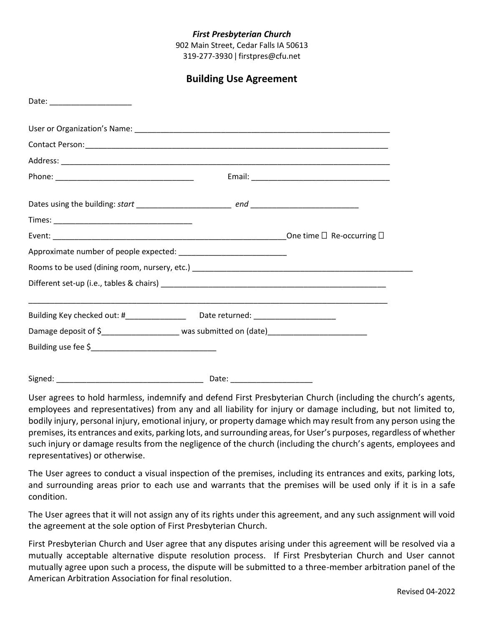## *First Presbyterian Church*

902 Main Street, Cedar Falls IA 50613 319-277-3930 ǀ firstpres@cfu.net

| Date: ______________________                                                             |  |
|------------------------------------------------------------------------------------------|--|
|                                                                                          |  |
|                                                                                          |  |
|                                                                                          |  |
|                                                                                          |  |
|                                                                                          |  |
|                                                                                          |  |
|                                                                                          |  |
|                                                                                          |  |
|                                                                                          |  |
|                                                                                          |  |
| Building Key checked out: #______________________Date returned: ________________         |  |
| Damage deposit of \$_______________________ was submitted on (date)_____________________ |  |
|                                                                                          |  |
|                                                                                          |  |

User agrees to hold harmless, indemnify and defend First Presbyterian Church (including the church's agents, employees and representatives) from any and all liability for injury or damage including, but not limited to, bodily injury, personal injury, emotional injury, or property damage which may result from any person using the premises, its entrances and exits, parking lots, and surrounding areas, for User's purposes, regardless of whether such injury or damage results from the negligence of the church (including the church's agents, employees and representatives) or otherwise.

The User agrees to conduct a visual inspection of the premises, including its entrances and exits, parking lots, and surrounding areas prior to each use and warrants that the premises will be used only if it is in a safe condition.

The User agrees that it will not assign any of its rights under this agreement, and any such assignment will void the agreement at the sole option of First Presbyterian Church.

First Presbyterian Church and User agree that any disputes arising under this agreement will be resolved via a mutually acceptable alternative dispute resolution process. If First Presbyterian Church and User cannot mutually agree upon such a process, the dispute will be submitted to a three-member arbitration panel of the American Arbitration Association for final resolution.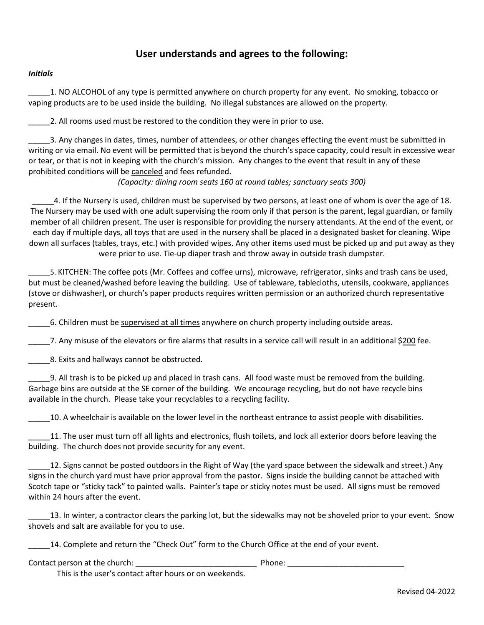# **User understands and agrees to the following:**

#### *Initials*

\_\_\_\_\_1. NO ALCOHOL of any type is permitted anywhere on church property for any event. No smoking, tobacco or vaping products are to be used inside the building. No illegal substances are allowed on the property.

\_\_\_\_\_2. All rooms used must be restored to the condition they were in prior to use.

\_\_\_\_\_3. Any changes in dates, times, number of attendees, or other changes effecting the event must be submitted in writing or via email. No event will be permitted that is beyond the church's space capacity, could result in excessive wear or tear, or that is not in keeping with the church's mission. Any changes to the event that result in any of these prohibited conditions will be canceled and fees refunded.

*(Capacity: dining room seats 160 at round tables; sanctuary seats 300)*

4. If the Nursery is used, children must be supervised by two persons, at least one of whom is over the age of 18. The Nursery may be used with one adult supervising the room only if that person is the parent, legal guardian, or family member of all children present. The user is responsible for providing the nursery attendants. At the end of the event, or each day if multiple days, all toys that are used in the nursery shall be placed in a designated basket for cleaning. Wipe down all surfaces (tables, trays, etc.) with provided wipes. Any other items used must be picked up and put away as they were prior to use. Tie-up diaper trash and throw away in outside trash dumpster.

\_\_\_\_\_5. KITCHEN: The coffee pots (Mr. Coffees and coffee urns), microwave, refrigerator, sinks and trash cans be used, but must be cleaned/washed before leaving the building. Use of tableware, tablecloths, utensils, cookware, appliances (stove or dishwasher), or church's paper products requires written permission or an authorized church representative present.

\_\_\_\_\_6. Children must be supervised at all times anywhere on church property including outside areas.

\_\_\_\_\_7. Any misuse of the elevators or fire alarms that results in a service call will result in an additional \$200 fee.

18. Exits and hallways cannot be obstructed.

\_\_\_\_\_9. All trash is to be picked up and placed in trash cans. All food waste must be removed from the building. Garbage bins are outside at the SE corner of the building. We encourage recycling, but do not have recycle bins available in the church. Please take your recyclables to a recycling facility.

10. A wheelchair is available on the lower level in the northeast entrance to assist people with disabilities.

11. The user must turn off all lights and electronics, flush toilets, and lock all exterior doors before leaving the building. The church does not provide security for any event.

12. Signs cannot be posted outdoors in the Right of Way (the yard space between the sidewalk and street.) Any signs in the church yard must have prior approval from the pastor. Signs inside the building cannot be attached with Scotch tape or "sticky tack" to painted walls. Painter's tape or sticky notes must be used. All signs must be removed within 24 hours after the event.

\_\_\_\_\_13. In winter, a contractor clears the parking lot, but the sidewalks may not be shoveled prior to your event. Snow shovels and salt are available for you to use.

14. Complete and return the "Check Out" form to the Church Office at the end of your event.

Contact person at the church: \_\_\_\_\_\_\_\_\_\_\_\_\_\_\_\_\_\_\_\_\_\_\_\_\_\_\_\_ Phone: \_\_\_\_\_\_\_\_\_\_\_\_\_\_\_\_\_\_\_\_\_\_\_\_\_\_\_

This is the user's contact after hours or on weekends.

Revised 04-2022